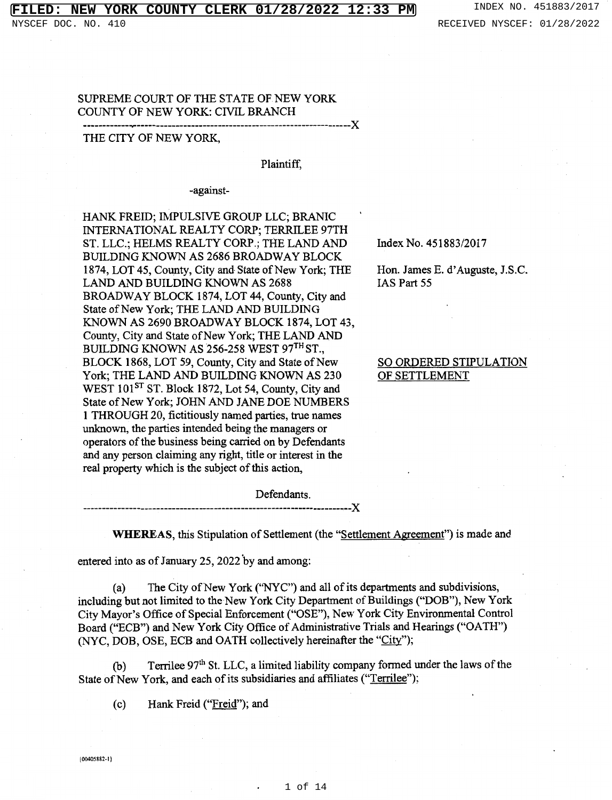### **FIRE COUNTY CLERK 01/28/2022 12:33 PM** INDEX NO. 451883/2017

### SUPREME COURT OF THE STATE OF NEW YORK COUNTY OF NEW YORK: CIVIL BRANCH

## ------------.... --------------------------------------X THE CITY OF NEW YORK,

#### Plaintiff,

-against-

HANK FREID; IMPULSIVE GROUP LLC; BRANIC INTERNATIONAL REALTY CORP; TERRILEE 97TH ST. LLC.; HELMS REALTY CORP.; THE LAND AND BUILDING KNOWN AS 2686 BROADWAY BLOCK 1874, LOT 45, County, City and State of New York; THE LAND AND BUILDING KNOWN AS 2688 BROADWAY BLOCK 1874, LOT 44, County, City and State of New York; THE LAND AND BUILDING KNOWN AS 2690 BROADWAY BLOCK 1874, LOT 43, County, City and State of New York; THE LAND AND BUILDING KNOWN AS  $256-258$  WEST  $97<sup>TH</sup>$  ST., BLOCK 1868, LOT 59, County, City and State of New York; THE LAND AND BUILDING KNOWN AS 230 WEST 101<sup>ST</sup> ST. Block 1872, Lot 54, County, City and State of New York; JOHN AND JANE DOE NUMBERS 1 THROUGH 20, fictitiously named parties, true names unknown, the parties intended being the managers or operators of the business being carried on by Defendants and any person claiming any right, title or interest in the real property which is the subject of this action,

Index No. 451883/2017

Hon. James E. d' Auguste, J.S.C. IAS Part 55

### SO ORDERED STIPULATION OF SETTLEMENT

Defendants. -------------------------· X

**WHEREAS,** this Stipulation of Settlement (the "Settlement Agreement") is made and

entered into as of January 25, 2022 by and among:

(a) The City of New York ("NYC") and all of its departments and subdivisions, including but not limited to the New York City Department of Buildings ("DOB"), New York City Mayor's Office of Special Enforcement ("OSE"), New York City Environmental Control Board ("ECB") and New York City Office of Administrative Trials and Hearings ("OATH") (NYC, DOB, OSE, ECB and OATH collectively hereinafter the "City");

(b) Terrilee  $97<sup>th</sup>$  St. LLC, a limited liability company formed under the laws of the State of New York, and each of its subsidiaries and affiliates ("Terrilee");

(c) Hank Freid ("Freid"); and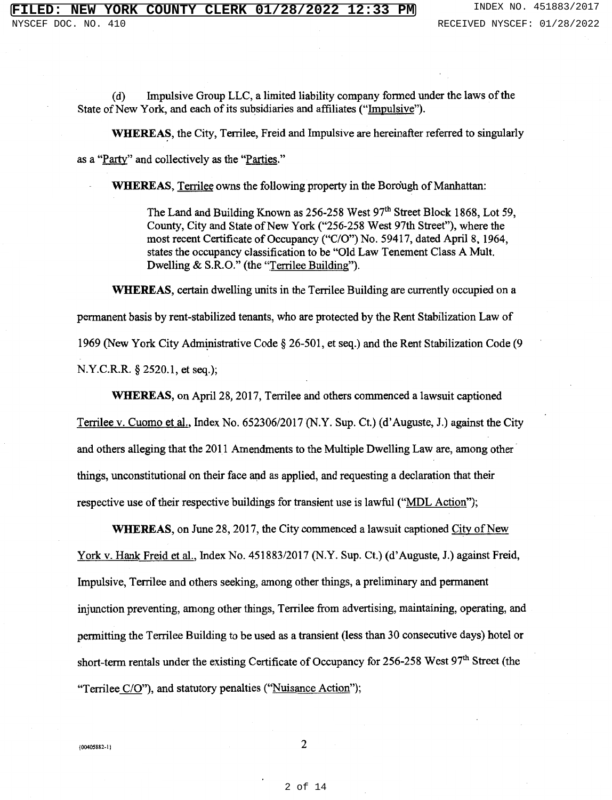( d) Impulsive Group LLC, a limited liability company formed under the laws of the State of New York, and each of its subsidiaries and affiliates ("Impulsive").

WHEREAS, the City, Terrilee, Freid and Impulsive are hereinafter referred to singularly as a "Party" and collectively as the "Parties."

**WHEREAS,** Terrilee owns the following property in the Borough of Manhattan:

The Land and Building Known as 256-258 West 97<sup>th</sup> Street Block 1868, Lot 59, County, City and State of New York ("256-258 West 97th Street"), where the most recent Certificate of Occupancy ("C/O") No. 59417, dated April 8, 1964, states the occupancy classification to be "Old Law Tenement Class A Mult. Dwelling & S.R.O." (the "Terrilee Building").

**WHEREAS,** certain dwelling units in the Terrilee Building are currently occupied on a permanent basis by rent-stabilized tenants, who are protected by the Rent Stabilization Law of 1969 (New York City Administrative Code § 26-501, et seq.) and the Rent Stabilization Code (9 N.Y.C.R.R. § 2520.1, et seq.);

**WHEREAS,** on April 28, 2017, Terrilee and others commenced a lawsuit captioned Terrilee v. Cuomo et al., Index No. 652306/2017 (N.Y. Sup. Ct.) (d' Auguste, J.) against the City and others alleging that the 2011 Amendments to the Multiple Dwelling Law are, among other things, unconstitutional on their face and as applied, and requesting a declaration that their respective use of their respective buildings for transient use is lawful ("MDL Action");

**WHEREAS,** on June 28, 2017, the City commenced a lawsuit captioned City of New York v. Hank Freid et al., Index No. 451883/2017 (N.Y. Sup. Ct.) (d'Auguste, J.) against Freid, Impulsive, Terrilee and others seeking, among other things, a preliminary and permanent injunction preventing, among other things, Terrilee from advertising, maintaining, operating, and permitting the Terrilee Building to be used as a transient (less than 30 consecutive days) hotel or short-term rentals under the existing Certificate of Occupancy for 256-258 West  $97<sup>th</sup>$  Street (the "Terrilee C/O"), and statutory penalties ("Nuisance Action");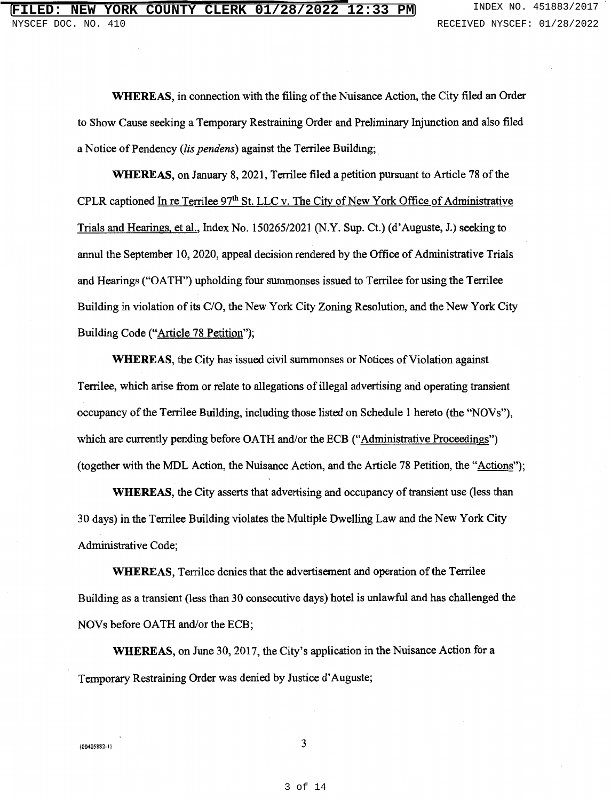**WHEREAS,** in connection with the filing of the Nuisance Action, the City filed an Order to Show Cause seeking a Temporary Restraining Order and Preliminary Injunction and also filed a Notice of Pendency *(lis pendens)* against the Terrilee Building;

**WHEREAS,** on January 8, 2021, Terrilee filed a petition pursuant to Article 78 of the CPLR captioned In re Terrilee 97<sup>th</sup> St. LLC v. The City of New York Office of Administrative Trials and Hearings, et al., Index No. 150265/2021 (N.Y. Sup. Ct.) (d' Auguste, J.) seeking to annul the September 10, 2020, appeal decision rendered by the Office of Administrative Trials and Hearings ("OATH") upholding four summonses issued to Terrilee for using the Terrilee Building in violation of its C/O, the New York City Zoning Resolution, and the New York City Building Code ("Article 78 Petition");

**WHEREAS,** the City has issued civil summonses or Notices of Violation against Terrilee, which arise from or relate to allegations of illegal advertising and operating transient occupancy of the Terrilee Building, including those listed on Schedule 1 hereto (the ''NOVs"), which are currently pending before OATH and/or the ECB ("Administrative Proceedings") (together with the MDL Action, the Nuisance Action, and the Article 78 Petition, the "Actions");

**WHEREAS,** the City asserts that advertising and occupancy of transient use (less than 30 days) in the Terrilee Building violates the Multiple Dwelling Law and the New York City Administrative Code;

**WHEREAS,** Terrilee denies that the advertisement and operation of the Terrilee Building as a transient (less than 30 consecutive days) hotel is unlawful and has challenged the NOVs before OATH and/or the ECB;

**WHEREAS,** on June 30, 2017, the City's application in the Nuisance Action for a Temporary Restraining Order was denied by Justice d' Auguste;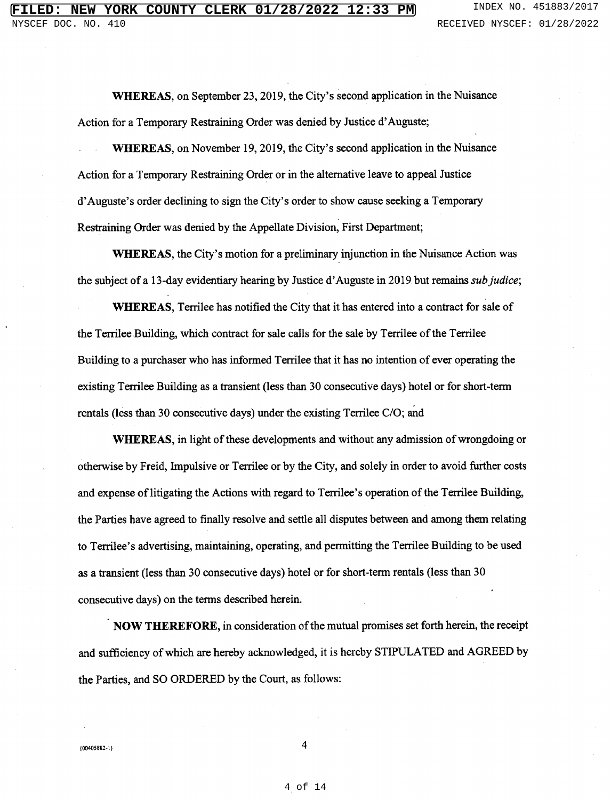**WHEREAS,** on September 23, 2019, the City's second application in the Nuisance Action for a Temporary Restraining Order was denied by Justice d' Auguste;

**WHEREAS,** on November 19, 2019, the City's second application in the Nuisance Action for a Temporary Restraining Order or in the alternative leave to appeal Justice d' Auguste's order declining to sign the City's order to show cause seeking a Temporary Restraining Order was denied by the Appellate Division, First Department;

**WHEREAS,** the City's motion for a preliminary injunction in the Nuisance Action was the subject of a 13-day evidentiary hearing by Justice d' Auguste in 2019 but remains *sub Judice;* 

**WHEREAS,** Terrilee has notified the City that it has entered into a contract for sale of the Terrilee Building, which contract for sale calls for the sale by Terrilee of the Terrilee Building to a purchaser who has informed Terrilee that it has no intention of ever operating the existing Terrilee Building as a transient (less than 30 consecutive days) hotel or for short-term rentals (less than 30 consecutive days) under the existing Terrilee C/O; and

**WHEREAS,** in light of these developments and without any admission of wrongdoing or otherwise by Freid, Impulsive or Terrilee or by the City, and solely in order to avoid further costs and expense oflitigating the Actions with regard to Terrilee's operation of the Terrilee Building, the Parties have agreed to finally resolve and settle all disputes between and among them relating to Terrilee's advertising, maintaining, operating, and permitting the Terrilee Building to be used as a transient (less than 30 consecutive days) hotel or for short-term rentals (less than 30 consecutive days) on the terms described herein.

**NOW THEREFORE,** in consideration of the mutual promises set forth herein, the receipt and sufficiency of which are hereby acknowledged, it is hereby STIPULATED and AGREED by the Parties, and SO ORDERED by the Court, as follows: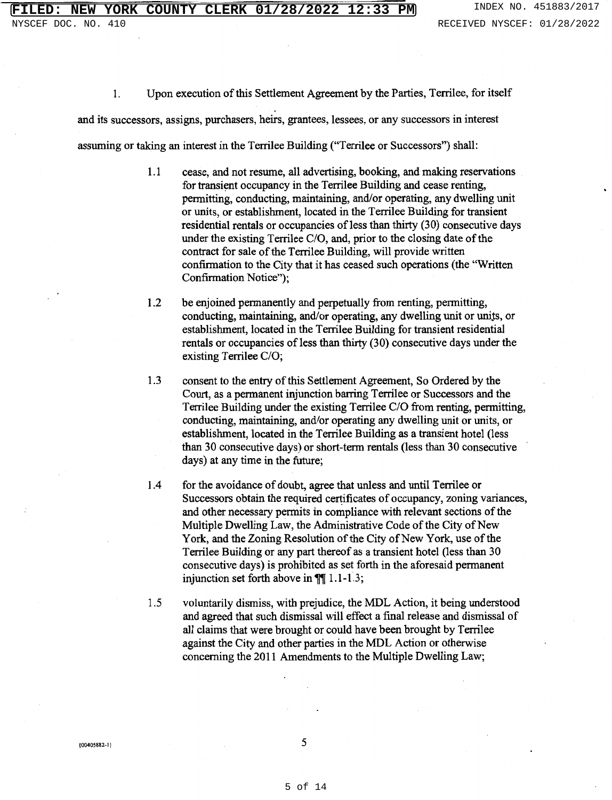1. Upon execution of this Settlement Agreement by the Parties, Terrilee, for itself

and its successors, assigns, purchasers, heirs, grantees, lessees, or any successors in interest

assuming or taking an interest in the Terrilee Building ("Terrilee or Successors") shall:

- 1.1 cease, and not resume, all advertising, booking, and making reservations for transient occupancy in the Terrilee Building and cease renting, permitting, conducting, maintaining, and/or operating, any dwelling unit or units, or establishment, located in the Terrilee Building for transient residential rentals or occupancies of less than thirty (30) consecutive days under the existing Terrilee C/O, and, prior to the closing date of the contract for sale of the Terrilee Building, will provide written confirmation to the City that it has ceased such operations (the "Written Confirmation Notice");
- 1.2 be enjoined permanently and perpetually from renting, permitting, conducting, maintaining, and/or operating, any dwelling unit or units, or establishment, located in the Terrilee Building for transient residential rentals or occupancies of less than thirty (30) consecutive days under the existing Terrilee C/O;
- 1.3 consent to the entry of this Settlement Agreement, So Ordered by the Court, as a permanent injunction barring Terrilee or Successors and the Terrilee Building under the existing Terrilee C/O from renting, permitting, conducting, maintaining, and/or operating any dwelling unit or units, or establishment, located in the Terrilee Building as a transient hotel (less than 30 consecutive days) or short-term rentals (less than 30 consecutive days) at any time in the future;
- 1.4 for the avoidance of doubt, agree that unless and until Terrilee or Successors obtain the required certificates of occupancy, zoning variances, and other necessary permits in compliance with relevant sections of the Multiple Dwelling Law, the Administrative Code of the City of New York, and the Zoning Resolution of the City of New York, use of the Terrilee Building or any part thereof as a transient hotel (less than 30 consecutive days) is prohibited as set forth in the aforesaid permanent injunction set forth above in  $\P$ [[ 1.1-1.3;
- 1.5 voluntarily dismiss, with prejudice, the MDL Action, it being understood and agreed that such dismissal will effect a final release and dismissal of all claims that were brought or could have been brought by Terrilee against the City and other parties in the MDL Action or otherwise concerning the 2011 Amendments to the Multiple Dwelling Law;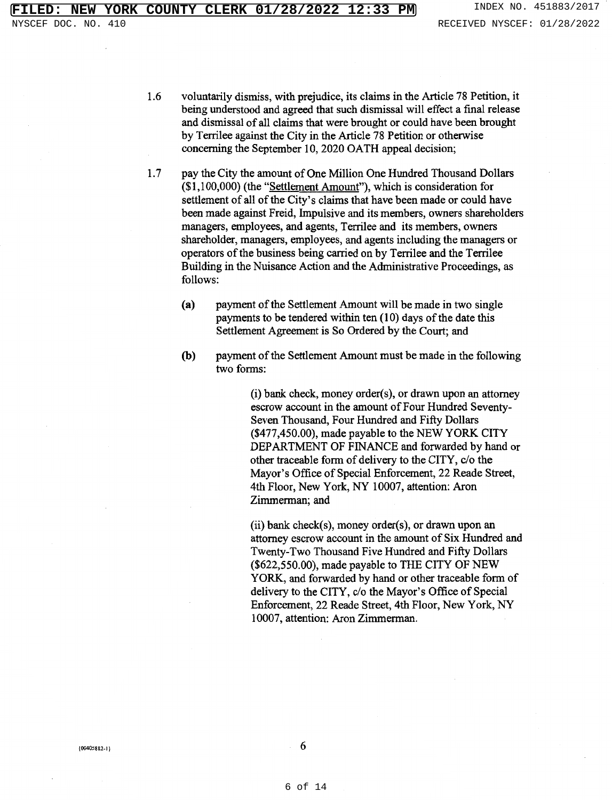- 1.6 voluntarily dismiss, with prejudice, its claims in the Article 78 Petition, it being understood and agreed that such dismissal will effect a final release and dismissal of all claims that were brought or could have been brought by Terrilee against the City in the Article 78 Petition or otherwise concerning the September 10, 2020 OATH appeal decision;
- 1.7 pay the City the amount of One Million One Hundred Thousand Dollars (\$1,100,000) (the "Settlement Amount"), which is consideration for settlement of all of the City's claims that have been made or could have been made against Freid, Impulsive and its members, owners shareholders managers, employees, and agents, Terrilee and its members, owners shareholder, managers, employees, and agents including the managers or operators of the business being carried on by Terrilee and the Terrilee Building in the Nuisance Action and the Administrative Proceedings, as follows:
	- (a) payment of the Settlement Amount will be made in two single payments to be tendered within ten (10) days of the date this Settlement Agreement is So Ordered by the Court; and
	- (b) payment of the Settlement Amount must be made in the following two forms:

(i) bank check, money order(s), or drawn upon an attorney escrow account in the amount of Four Hundred Seventy-Seven Thousand, Four Hundred and Fifty Dollars (\$477,450.00), made payable to the NEW YORK CITY DEPARTMENT OF FINANCE and forwarded by hand or other traceable form of delivery to the CITY, c/o the Mayor's Office of Special Enforcement, 22 Reade Street, 4th Floor, New York, NY 10007, attention: Aron Zimmerman; and

(ii) bank check(s), money order(s), or drawn upon an attorney escrow account in the amount of Six Hundred and Twenty-Two Thousand Five Hundred and Fifty Dollars (\$622,550.00), made payable to THE CITY OF NEW YORK, and forwarded by hand or other traceable form of delivery to the CITY, c/o the Mayor's Office of Special Enforcement, 22 Reade Street, 4th Floor, New York, NY I 0007, attention: Aron Zimmerman.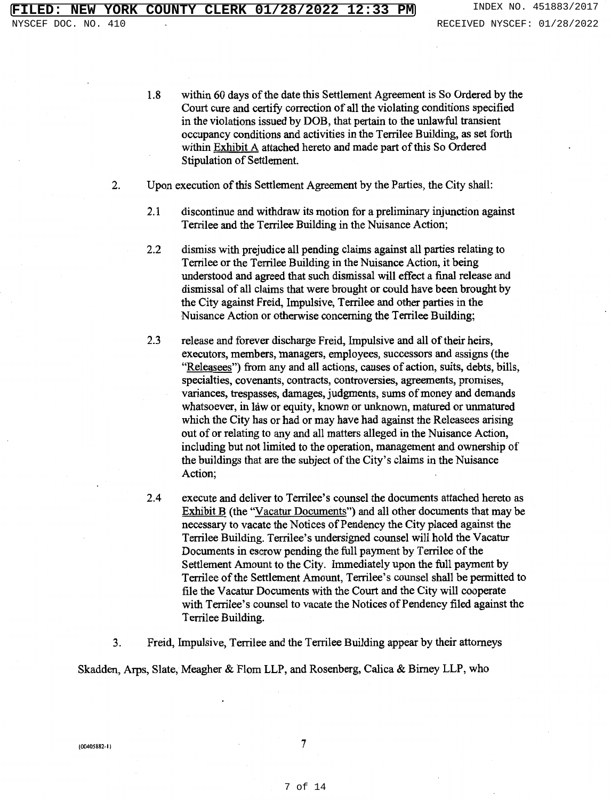- 1.8 within 60 days of the date this Settlement Agreement is So Ordered by the Court cure and certify correction of all the violating conditions specified in the violations issued by DOB, that pertain to the unlawful transient occupancy conditions and activities in the Terrilee Building, as set forth within Exhibit A attached hereto and made part of this So Ordered Stipulation of Settlement
- 2. Upon execution of this Settlement Agreement by the Parties, the City shall:
	- 2.1 discontinue and withdraw its motion for a preliminary injunction against Terrilee and the Terrilee Building in the Nuisance Action;
	- 2.2 dismiss with prejudice all pending claims against all parties relating to Terrilee or the Terrilee Building in the Nuisance Action, it being understood and agreed that such dismissal will effect a final release and dismissal of all claims that were brought or could have been brought by the City against Freid, Impulsive, Terrilee and other parties in the Nuisance Action or otherwise concerning the Terrilee Building;
	- 2.3 release and forever discharge Freid, Impulsive and all of their heirs, executors, members, managers, employees, successors and assigns (the "Releasees") from any and all actions, causes of action, suits, debts, bills, specialties, covenants, contracts, controversies, agreements, promises, variances, trespasses, damages, judgments, sums of money and demands whatsoever, in law or equity, known or unknown, matured or unmatured which the City has or had or may have had against the Releasees arising out of or relating to any and all matters alleged in the Nuisance Action, including but not limited to the operation, management and ownership of the buildings that are the subject of the City's claims in the Nuisance Action;
	- 2.4 execute and deliver to Terrilee's counsel the documents attached hereto as Exhibit B (the ''Vacatur Documents") and all other documents that may be necessary to vacate the Notices of Pendency the City placed against the Terrilee Building. Terrilee's undersigned counsel will hold the Vacatur Documents in escrow pending the full payment by Terrilee of the Settlement Amount to the City. Immediately upon the full payment by Terrilee of the Settlement Amount, Terrilee's counsel shall be permitted to file the Vacatur Documents with the Court and the City will cooperate with Terrilee's counsel to vacate the Notices of Pendency filed against the Terrilee Building.

3. Freid, Impulsive, Terrilee and the Terrilee Building appear by their attorneys

Skadden, Arps, Slate, Meagher & Flom LLP, and Rosenberg, Calica & Birney LLP, who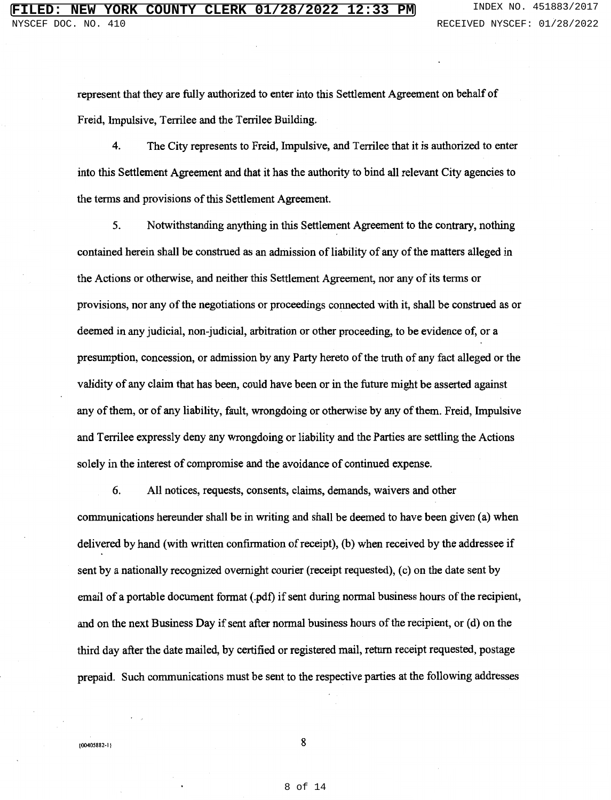represent that they are fully authorized to enter into this Settlement Agreement on behalf of Freid, Impulsive, Terrilee and the Terrilee Building.

4. The City represents to Freid, Impulsive, and Terrilee that it is authorized to enter into this Settlement Agreement and that it has the authority to bind all relevant City agencies to the terms and provisions of this Settlement Agreement.

5. Notwithstanding anything in this Settlement Agreement to the contrary, nothing contained herein shall be construed as an admission of liability of any of the matters alleged in the Actions or otherwise, and neither this Settlement Agreement, nor any of its terms or provisions, nor any of the negotiations or proceedings connected with it, shall be construed as or deemed in any judicial, non-judicial, arbitration or other proceeding, to be evidence of, or a presumption, concession, or admission by any Party hereto of the truth of any fact alleged or the validity of any claim that has been, could have been or in the future might be asserted against any of them, or of any liability, fault, wrongdoing or otherwise by any of them. Freid, Impulsive and Terrilee expressly deny any wrongdoing or liability and the Parties are settling the Actions solely in the interest of compromise and the avoidance of continued expense.

6. All notices, requests, consents, claims, demands, waivers and other communications hereunder shall be in writing and shall be deemed to have been given (a) when delivered by hand (with written confirmation of receipt), (b) when received by the addressee if sent by a nationally recognized overnight courier (receipt requested), (c) on the date sent by email of a portable document format (.pdf) if sent during normal business hours of the recipient, and on the next Business Day if sent after normal business hours of the recipient, or (d) on the third day after the date mailed, by certified or registered mail, return receipt requested, postage prepaid. Such communications must be sent to the respective parties at the following addresses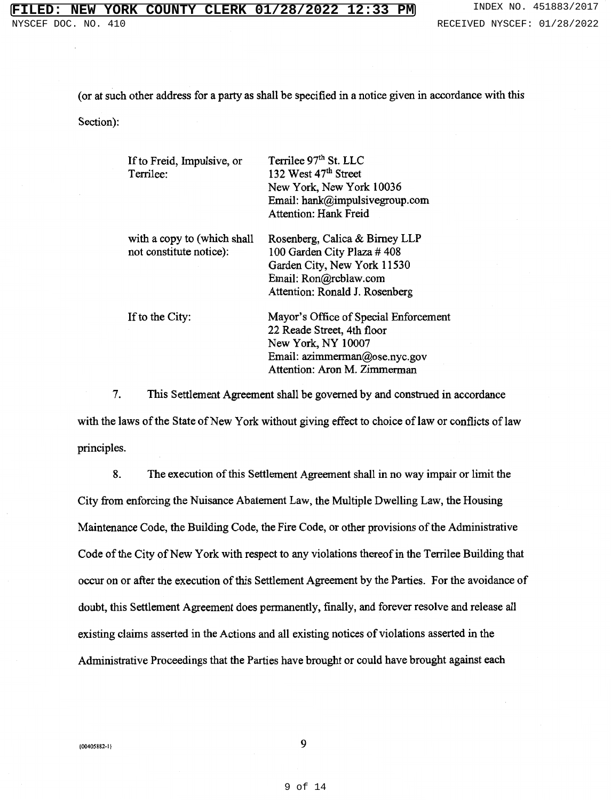( or at such other address for a party as shall be specified in a notice given in accordance with this

Section):

| If to Freid, Impulsive, or<br>Terrilee:                | Terrilee 97 <sup>th</sup> St. LLC<br>132 West 47 <sup>th</sup> Street<br>New York, New York 10036<br>Email: hank@impulsivegroup.com<br>Attention: Hank Freid |
|--------------------------------------------------------|--------------------------------------------------------------------------------------------------------------------------------------------------------------|
| with a copy to (which shall<br>not constitute notice): | Rosenberg, Calica & Birney LLP<br>100 Garden City Plaza #408<br>Garden City, New York 11530<br>Email: Ron@rcblaw.com<br>Attention: Ronald J. Rosenberg       |
| If to the City:                                        | Mayor's Office of Special Enforcement<br>22 Reade Street, 4th floor<br>New York, NY 10007<br>Email: azimmerman@ose.nyc.gov<br>Attention: Aron M. Zimmerman   |

7. This Settlement Agreement shall be governed by and construed in accordance with the laws of the State of New York without giving effect to choice of law or conflicts of law principles.

8. The execution of this Settlement Agreement shall in no way impair or limit the City from enforcing the Nuisance Abatement Law, the Multiple Dwelling Law, the Housing Maintenance Code, the Building Code, the Fire Code, or other provisions of the Administrative Code of the City of New York with respect to any violations thereof in the Terrilee Building that occur on or after the execution of this Settlement Agreement by the Parties. For the avoidance of doubt, this Settlement Agreement does pennanently, finally, and forever resolve and release all existing claims asserted in the Actions and all existing notices of violations asserted in the Administrative Proceedings that the Parties have brought or could have brought against each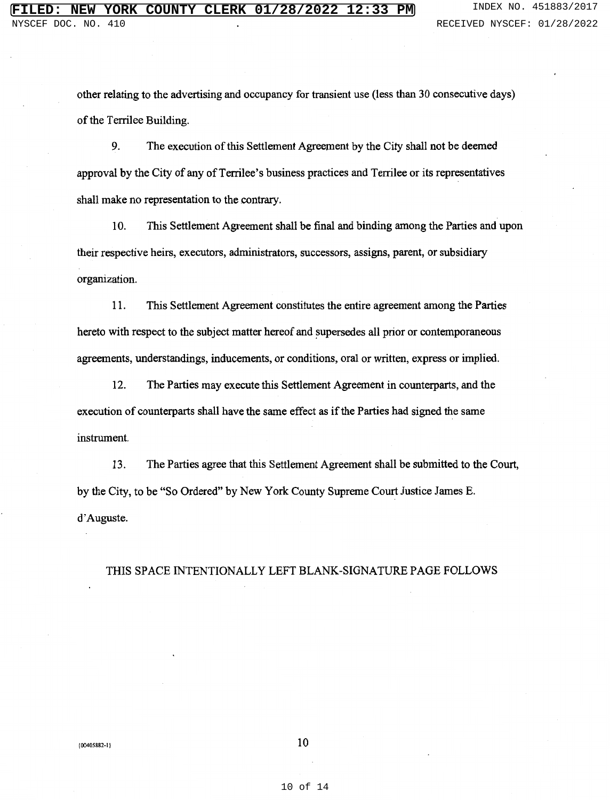other relating to the advertising and occupancy for transient use (less than 30 consecutive days) of the Terrilee Building.

9. The execution of this Settlement Agreement by the City shall not be deemed approval by the City of any of Terrilee's business practices and Terrilee or its representatives shall make no representation to the contrary.

10. This Settlement Agreement shall be final and binding among the Parties and upon their respective heirs, executors, administrators, successors, assigns, parent, or subsidiary organization.

11. This Settlement Agreement constitutes the entire agreement among the Parties hereto with respect to the subject matter hereof and supersedes all prior or contemporaneous agreements, understandings, inducements, or conditions, oral or written, express or implied.

12. The Parties may execute this Settlement Agreement in counterparts, and the execution of counterparts shall have the same effect as if the Parties had signed the same instrument.

13. The Parties agree that this Settlement Agreement shall be submitted to the Court, by the City, to be "So Ordered" by New York County Supreme Court Justice James E. d'Auguste.

THIS SPACE INTENTIONALLY LEFT BLANK-SIGNATURE PAGE FOLLOWS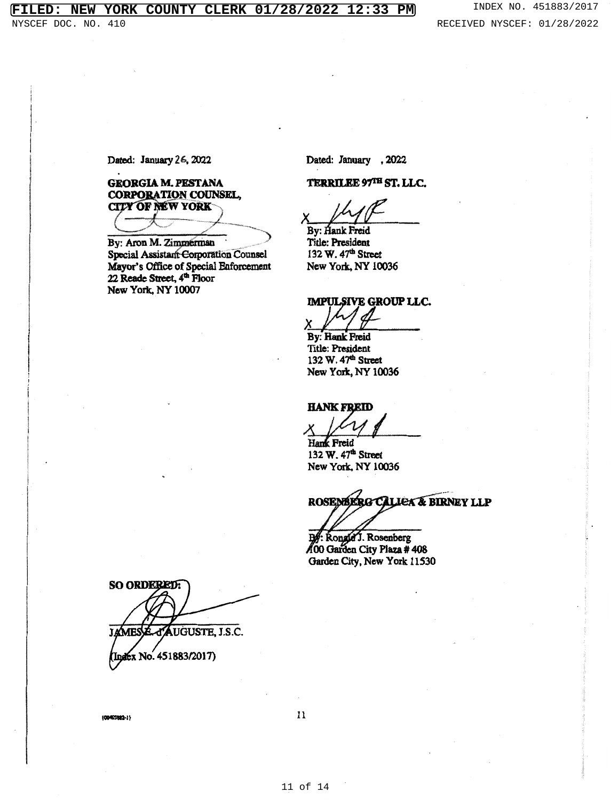# **FILED: NEW YORK COUNTY CLERK 01/28/2022 12:33 PM** INDEX NO. 451883/2017

Dated: January 26, 2022

**GEORGIA M. PESTANA CORPORATION COUNSEL, CITY OF NEW YORK** 

By: Aron M. Zimmerman Special Assistant Corporation Counsel Mayor's Office of Special Enforcement 22 Reade Street, 4<sup>th</sup> Floor New York, NY 10007

Dated: January , 2022

TERRILEE 97TH ST. LLC.

 $x$   $\mu$   $\beta$ 

Title: President 132 W. 47<sup>th</sup> Street New York, NY 10036

**IMPULSIVE GROUP LLC.** 

By: Hank Freid . Title: President 132 W. 47<sup>th</sup> Street New York. NY 10036

HANK FREID<br> $\times$   $\frac{1}{\sqrt{1-\frac{1}{1}}\sqrt{1-\frac{1}{1}}\sqrt{1-\frac{1}{1}}}}$  Street HANK FREID<br>X<br>Hank Freid

132 W. 47<sup>th</sup> Street New York. NY 10036

ROSEMBERG CALLEX & BIRNEY LLP

. Rongd J. Rosenberg 00 Garden City Plaza # 408 Garden City, New York 11530

SO ORDERED: **AUGUSTE, J.S.C. JAMES** Index No. 451883/2017)

ICNISlft-11

11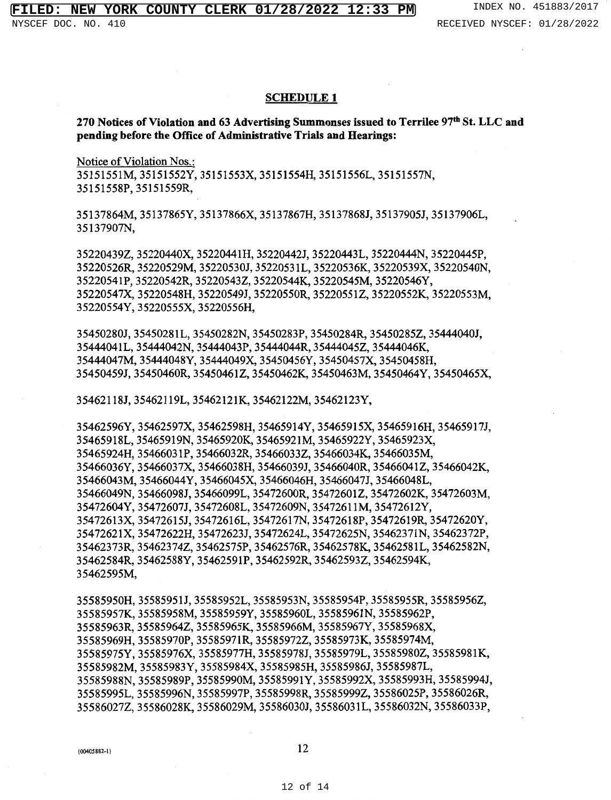### **SCHEDULE 1**

**270 Notices of Violation and** 63 **Advertising Summonses issued to Terrilee** 97th St. LLC and **pending before the Office of Administrative Trials and Bearings:** 

Notice of Violation Nos.: 35151551M, 35151552Y, 35151553X, 35151554H, 35151556L, 35151557N, 35151558P,35151559R,

35137864M,35137865Y,35137866X,35137867H,35137868J,35137905J,35137906L, 35137907N,

352204392,35220440X,35220441H,35220442J,35220443L,35220444N,35220445P, 35220526R, 35220529M, 35220530J, 3522053 lL, 35220536K, 35220539X, 35220540N, 35220541P, 35220542R, 352205432, 35220544K, 35220545M, 35220546Y, 35220547X, 35220548H, 35220549J, 35220550R, 352205512, 35220552K, 35220553M, 35220554Y, 35220555X, 35220556H,

35450280J, 35450281L, 35450282N, 35450283P, 35450284R, 354502852, 35444040J, 35444041L,35444042N,35444043P,35444044R,354440452,35444046K, 35444047M, 35444048Y, 35444049X, 35450456Y, 35450457X, 35450458H, 35450459J, 35450460R, 354504612, 35450462K, 35450463M, 35450464Y, 35450465X,

35462118J,35462119L,35462121K,3S462122M,35462123Y,

3S462S96Y, 35462S97X, 35462598H, 35465914Y, 35465915X, 35465916H, 354659171, 35465918L, 35465919N, 35465920K, 35465921M, 3S46S922Y, 3S46S923X, 35465924H, 35466031P, 35466032R, 354660332, 35466034K, 35466035M, 3S466036Y, 35466037x, 35466038H, 354660391, 35466040R, 3S4660412, 35466042K, 35466043M,35466044Y,35466045X,35466046H,35466047J,35466048L, 35466049N,35466098J,35466099L,35472600R,354726012,35472602K,35472603M, 35472604Y,35472607J,35472608L,35472609N,35472611M,35472612Y, 35472613X,35472615J,35472616L,35472617N,35472618P,35472619R,35472620Y, 3S472621X, 35472622H, 354726231, 35472624L, 35472625N, 35462371N, 35462372P, 35462373R,354623742,3546257SP,35462576R,35462578K,35462581L,35462582N, 35462584R,35462588Y,35462591P,35462592R,354625932,3S462594K, 35462595M,

35585950H,35585951J,35585952L,35585953N,35585954P,355859SSR,355859562, 355859S7K,35585958M,35585959Y,35585960L,35585961N,35585962P, 35585963R, 355859642, 35585965K, 35585966M, 3S585967Y, 35585968X, 35585969H, 35585970P, 35585971R, 355859722, 35585973K, 35585974M, 35585975Y, 35585976X, 35585977H, 355859781, 35585979L, 355859802, 35585981K, 35585982M, 35585983Y, 35585984X, 35585985H, 35585986J, 35585987L, 35585988N, 35585989P, 35585990M, 35585991Y, 35585992X, 35585993H, 35585994J, 35585995L,35585996N,35585997P,35585998R,355859992,35586025P,35586026R, 355860272,35586028K,35586029M,35586030J,35586031L,35586032N,35586033P,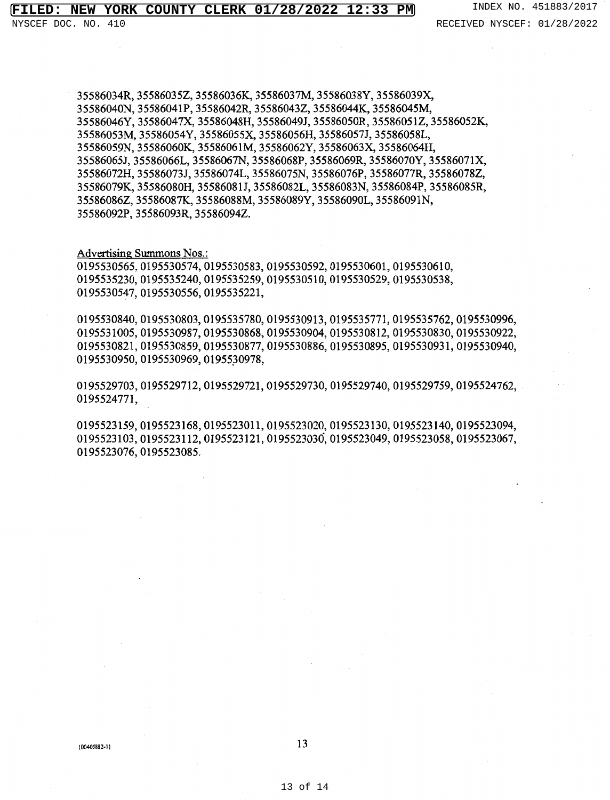35586034R,355860352,35586036K,35586037M,35586038Y,35586039X, 35586040N, 35586041P, 35586042R, 355860432, 35586044K, 35586045M, 35586046Y,35586047X,35586048H,35586049J,35586050R,355860512,35586052K, 35586053M, 35586054Y, 35586055X, 35586056H, 35586057J, 35586058L, 35586059N, 35586060K, 35586061M, 35586062Y, 35586063X, 35586064H, 35586065J,35586066L,35586067N,35586068P,35586069R,35586070Y,35586071X, 35586072H,35586073J,35586074L,35586075N,35586076P,35586077R,355860782, 35586079K,3S586080H,35586081J,35586082L,35586083N,35586084P,35586085R, 355860862, 35586087K, 35586088M, 35586089Y, 35586090L, 35586091N, 35586092P,35586093R,355860942.

#### Advertising Summons Nos.:

0195530565,0195530574,0195530583,0195530592,0195530601,0195530610, 0195535230,0195535240,0195535259,0195530510,0195530529,0195530538, 0195530517,0195530556,0195535221,

0195530840,0195530803,0195535780,0195530913,0195535771,0195535762,0195530996, 0195531005,0195530987,0195530868,0195530904,0195530812,0195530830,0195530922, 0195530821,0195530859,0195530877,0195530886,0195530895,0195530931,0195530940, 0195530950,0195530969,01955J0978,

0195529703,0195529712,0195529721,0195529730,0195529740,0195529759,0195524762, 0195524771,

0195523159,0195523168,0195523011,0195523020,0195523130,0195523140,0195523094, 0195523103,0195523112,0195523121,0195523036,0195523049,0195523058,0195523067, 0195523076,0195523085.